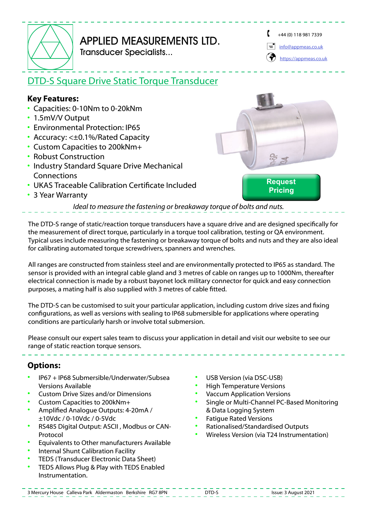

## APPLIED MEASUREMENTS LTD. Transducer Specialists...

 $+44(0)$  118 981 7339

[info@appmeas.co.uk](mailto:info%40appmeas.co.uk?subject=DTD-S%20Square%20Drive%20Static%20Torque%20Transducer%0D)

[https://appmeas.co.uk](https://appmeas.co.uk/?utm_source=PDF%20Data%Sheets&utm_medium=referral&utm_campaign=PDF%20Data%Sheets)

# DTD-S Square Drive Static Torque Transducer

### **Key Features:**

- Capacities: 0-10Nm to 0-20kNm
- 1.5mV/V Output
- Environmental Protection: IP65
- Accuracy: <±0.1%/Rated Capacity
- Custom Capacities to 200kNm+
- Robust Construction
- Industry Standard Square Drive Mechanical **Connections**
- UKAS Traceable Calibration Certificate Included
- 3 Year Warranty



*Ideal to measure the fastening or breakaway torque of bolts and nuts.*

The DTD-S range of static/reaction torque transducers have a square drive and are designed specifically for the measurement of direct torque, particularly in a torque tool calibration, testing or QA environment. Typical uses include measuring the fastening or breakaway torque of bolts and nuts and they are also ideal for calibrating automated torque screwdrivers, spanners and wrenches.

All ranges are constructed from stainless steel and are environmentally protected to IP65 as standard. The sensor is provided with an integral cable gland and 3 metres of cable on ranges up to 1000Nm, thereafter electrical connection is made by a robust bayonet lock military connector for quick and easy connection purposes, a mating half is also supplied with 3 metres of cable fitted.

The DTD-S can be customised to suit your particular application, including custom drive sizes and fixing configurations, as well as versions with sealing to IP68 submersible for applications where operating conditions are particularly harsh or involve total submersion.

Please consult our expert sales team to discuss your application in detail and visit our website to see our range of static reaction torque sensors.

### **Options:**

- IP67 + IP68 Submersible/Underwater/Subsea Versions Available
- Custom Drive Sizes and/or Dimensions
- Custom Capacities to 200kNm+
- Amplified Analogue Outputs: 4-20mA / ±10Vdc / 0-10Vdc / 0-5Vdc
- RS485 Digital Output: ASCII , Modbus or CAN-Protocol
- Equivalents to Other manufacturers Available
- Internal Shunt Calibration Facility
- TEDS (Transducer Electronic Data Sheet)
- TEDS Allows Plug & Play with TEDS Enabled Instrumentation.
- USB Version (via DSC-USB)
- High Temperature Versions
- Vaccum Application Versions
- Single or Multi-Channel PC-Based Monitoring & Data Logging System
- Fatigue Rated Versions
- Rationalised/Standardised Outputs
- Wireless Version (via T24 Instrumentation)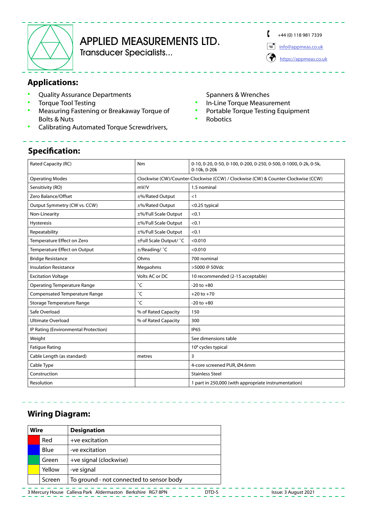

# APPLIED MEASUREMENTS LTD.

Transducer Specialists...

 $+44(0)$  118 981 7339

 $\equiv$  [info@appmeas.co.uk](mailto:info%40appmeas.co.uk?subject=DTD-S%20Square%20Drive%20Static%20Torque%20Transducer%0D)

(<a>[https://appmeas.co.uk](https://appmeas.co.uk/?utm_source=PDF%20Data%Sheets&utm_medium=referral&utm_campaign=PDF%20Data%Sheets)

## **Applications:**

- Quality Assurance Departments
- Torque Tool Testing
- Measuring Fastening or Breakaway Torque of Bolts & Nuts
- Calibrating Automated Torque Screwdrivers,

#### Spanners & Wrenches

- In-Line Torque Measurement
- Portable Torque Testing Equipment
- **Robotics**

### **Specification:**

| Rated Capacity (RC)                  | Nm                                                                                | 0-10, 0-20, 0-50, 0-100, 0-200, 0-250, 0-500, 0-1000, 0-2k, 0-5k,<br>0-10k, 0-20k |  |  |
|--------------------------------------|-----------------------------------------------------------------------------------|-----------------------------------------------------------------------------------|--|--|
| <b>Operating Modes</b>               | Clockwise (CW)/Counter-Clockwise (CCW) / Clockwise (CW) & Counter-Clockwise (CCW) |                                                                                   |  |  |
| Sensitivity (RO)                     | mV/V                                                                              | 1.5 nominal                                                                       |  |  |
| Zero Balance/Offset                  | ±%/Rated Output                                                                   | <1                                                                                |  |  |
| Output Symmetry (CW vs. CCW)         | ±%/Rated Output                                                                   | <0.25 typical                                                                     |  |  |
| Non-Linearity                        | ±%/Full Scale Output                                                              | < 0.1                                                                             |  |  |
| Hysteresis                           | ±%/Full Scale Output                                                              | < 0.1                                                                             |  |  |
| Repeatability                        | ±%/Full Scale Output                                                              | < 0.1                                                                             |  |  |
| Temperature Effect on Zero           | ±Full Scale Output/ °C                                                            | < 0.010                                                                           |  |  |
| <b>Temperature Effect on Output</b>  | ±/Reading/ °C                                                                     | < 0.010                                                                           |  |  |
| <b>Bridge Resistance</b>             | Ohms                                                                              | 700 nominal                                                                       |  |  |
| <b>Insulation Resistance</b>         | Megaohms                                                                          | >5000 @ 50Vdc                                                                     |  |  |
| <b>Excitation Voltage</b>            | Volts AC or DC                                                                    | 10 recommended (2-15 acceptable)                                                  |  |  |
| <b>Operating Temperature Range</b>   | °С                                                                                | $-20$ to $+80$                                                                    |  |  |
| Compensated Temperature Range        | °С                                                                                | $+20$ to $+70$                                                                    |  |  |
| Storage Temperature Range            | °C                                                                                | $-20$ to $+80$                                                                    |  |  |
| Safe Overload                        | % of Rated Capacity                                                               | 150                                                                               |  |  |
| <b>Ultimate Overload</b>             | % of Rated Capacity                                                               | 300                                                                               |  |  |
| IP Rating (Environmental Protection) |                                                                                   | <b>IP65</b>                                                                       |  |  |
| Weight                               |                                                                                   | See dimensions table                                                              |  |  |
| <b>Fatique Rating</b>                |                                                                                   | 10 <sup>8</sup> cycles typical                                                    |  |  |
| Cable Length (as standard)           | metres                                                                            | 3                                                                                 |  |  |
| Cable Type                           |                                                                                   | 4-core screened PUR, Ø4.6mm                                                       |  |  |
| Construction                         |                                                                                   | <b>Stainless Steel</b>                                                            |  |  |
| Resolution                           |                                                                                   | 1 part in 250,000 (with appropriate instrumentation)                              |  |  |

### **Wiring Diagram:**

| Wire |        | <b>Designation</b>                       |
|------|--------|------------------------------------------|
|      | Red    | +ve excitation                           |
|      | Blue   | -ve excitation                           |
|      | Green  | +ve signal (clockwise)                   |
|      | Yellow | -ve signal                               |
|      | Screen | To ground - not connected to sensor body |
|      |        |                                          |

3 Mercury House Calleva Park Aldermaston Berkshire RG7 8PN DTD-S Issue: 3 August 2021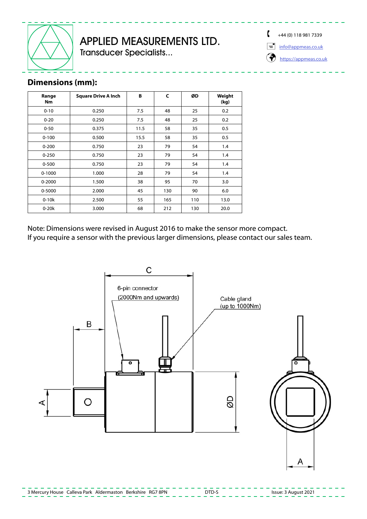

# APPLIED MEASUREMENTS LTD.

Transducer Specialists...

 $+44(0)$  118 981 7339

 $\equiv$  [info@appmeas.co.uk](mailto:info%40appmeas.co.uk?subject=DTD-S%20Square%20Drive%20Static%20Torque%20Transducer%0D)

[https://appmeas.co.uk](https://appmeas.co.uk/?utm_source=PDF%20Data%Sheets&utm_medium=referral&utm_campaign=PDF%20Data%Sheets)

## **Dimensions (mm):**

| Range<br><b>Nm</b> | <b>Square Drive A Inch</b> | B    | C   | ØD  | Weight<br>(kg) |
|--------------------|----------------------------|------|-----|-----|----------------|
| $0 - 10$           | 0.250<br>7.5               |      | 48  | 25  | 0.2            |
| $0 - 20$           | 0.250<br>7.5               |      | 48  | 25  | 0.2            |
| $0 - 50$           | 0.375<br>11.5              |      | 58  | 35  | 0.5            |
| $0 - 100$          | 0.500                      | 15.5 | 58  | 35  | 0.5            |
| $0 - 200$          | 0.750                      | 23   | 79  | 54  | 1.4            |
| $0 - 250$          | 0.750                      | 23   | 79  | 54  | 1.4            |
| $0 - 500$          | 0.750                      | 23   | 79  | 54  | 1.4            |
| $0 - 1000$         | 1.000                      | 28   | 79  | 54  | 1.4            |
| $0 - 2000$         | 1.500                      | 38   | 95  | 70  | 3.0            |
| 0-5000             | 2.000                      | 45   | 130 | 90  | 6.0            |
| $0-10k$            | 2.500                      | 55   | 165 | 110 | 13.0           |
| $0-20k$            | 3.000                      | 68   | 212 | 130 | 20.0           |

Note: Dimensions were revised in August 2016 to make the sensor more compact. If you require a sensor with the previous larger dimensions, please contact our sales team.



3 Mercury House Calleva Park Aldermaston Berkshire RG7 8PN DTD-S Issue: 3 August 2021